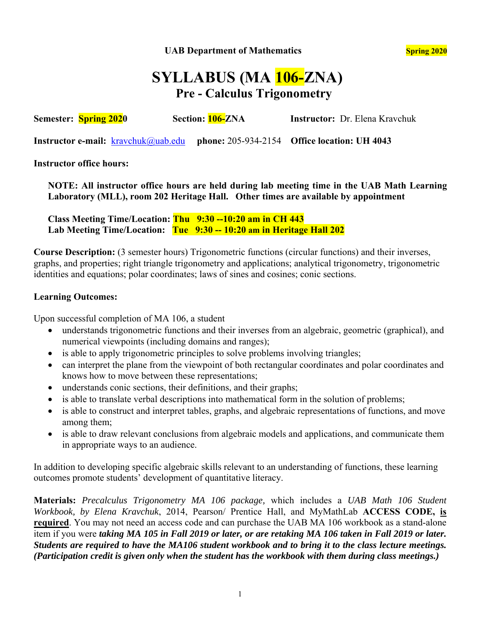**UAB Department of Mathematics Spring 2020 Spring 2020** 

# **SYLLABUS (MA 106-ZNA) Pre - Calculus Trigonometry**

**Semester: Spring 2020 Section: 106-ZNA Instructor:** Dr. Elena Kravchuk

**Instructor e-mail:** kravchuk@uab.edu **phone:** 205-934-2154 **Office location: UH 4043**

**Instructor office hours:** 

**NOTE: All instructor office hours are held during lab meeting time in the UAB Math Learning Laboratory (MLL), room 202 Heritage Hall. Other times are available by appointment** 

**Class Meeting Time/Location: Thu 9:30 --10:20 am in CH 443 Lab Meeting Time/Location: Tue 9:30 -- 10:20 am in Heritage Hall 202** 

**Course Description:** (3 semester hours) Trigonometric functions (circular functions) and their inverses, graphs, and properties; right triangle trigonometry and applications; analytical trigonometry, trigonometric identities and equations; polar coordinates; laws of sines and cosines; conic sections.

#### **Learning Outcomes:**

Upon successful completion of MA 106, a student

- understands trigonometric functions and their inverses from an algebraic, geometric (graphical), and numerical viewpoints (including domains and ranges);
- is able to apply trigonometric principles to solve problems involving triangles;
- can interpret the plane from the viewpoint of both rectangular coordinates and polar coordinates and knows how to move between these representations;
- understands conic sections, their definitions, and their graphs;
- is able to translate verbal descriptions into mathematical form in the solution of problems;
- is able to construct and interpret tables, graphs, and algebraic representations of functions, and move among them;
- is able to draw relevant conclusions from algebraic models and applications, and communicate them in appropriate ways to an audience.

In addition to developing specific algebraic skills relevant to an understanding of functions, these learning outcomes promote students' development of quantitative literacy.

**Materials:** *Precalculus Trigonometry MA 106 package,* which includes a *UAB Math 106 Student Workbook, by Elena Kravchuk*, 2014, Pearson/ Prentice Hall, and MyMathLab **ACCESS CODE, is required**. You may not need an access code and can purchase the UAB MA 106 workbook as a stand-alone item if you were *taking MA 105 in Fall 2019 or later, or are retaking MA 106 taken in Fall 2019 or later. Students are required to have the MA106 student workbook and to bring it to the class lecture meetings. (Participation credit is given only when the student has the workbook with them during class meetings.)*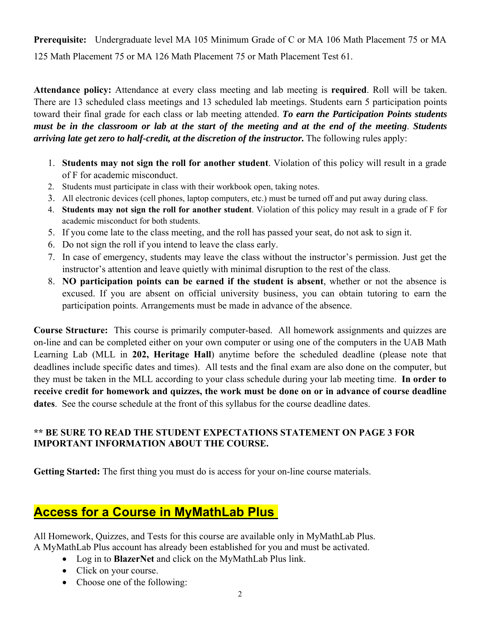**Prerequisite:** Undergraduate level MA 105 Minimum Grade of C or MA 106 Math Placement 75 or MA 125 Math Placement 75 or MA 126 Math Placement 75 or Math Placement Test 61.

**Attendance policy:** Attendance at every class meeting and lab meeting is **required**. Roll will be taken. There are 13 scheduled class meetings and 13 scheduled lab meetings. Students earn 5 participation points toward their final grade for each class or lab meeting attended. *To earn the Participation Points students must be in the classroom or lab at the start of the meeting and at the end of the meeting*. *Students arriving late get zero to half-credit, at the discretion of the instructor.* The following rules apply:

- 1. **Students may not sign the roll for another student**. Violation of this policy will result in a grade of F for academic misconduct.
- 2. Students must participate in class with their workbook open, taking notes.
- 3. All electronic devices (cell phones, laptop computers, etc.) must be turned off and put away during class.
- 4. **Students may not sign the roll for another student**. Violation of this policy may result in a grade of F for academic misconduct for both students.
- 5. If you come late to the class meeting, and the roll has passed your seat, do not ask to sign it.
- 6. Do not sign the roll if you intend to leave the class early.
- 7. In case of emergency, students may leave the class without the instructor's permission. Just get the instructor's attention and leave quietly with minimal disruption to the rest of the class.
- 8. **NO participation points can be earned if the student is absent**, whether or not the absence is excused. If you are absent on official university business, you can obtain tutoring to earn the participation points. Arrangements must be made in advance of the absence.

**Course Structure:** This course is primarily computer-based. All homework assignments and quizzes are on-line and can be completed either on your own computer or using one of the computers in the UAB Math Learning Lab (MLL in **202, Heritage Hall**) anytime before the scheduled deadline (please note that deadlines include specific dates and times). All tests and the final exam are also done on the computer, but they must be taken in the MLL according to your class schedule during your lab meeting time. **In order to receive credit for homework and quizzes, the work must be done on or in advance of course deadline dates**. See the course schedule at the front of this syllabus for the course deadline dates.

### **\*\* BE SURE TO READ THE STUDENT EXPECTATIONS STATEMENT ON PAGE 3 FOR IMPORTANT INFORMATION ABOUT THE COURSE.**

**Getting Started:** The first thing you must do is access for your on-line course materials.

## **Access for a Course in MyMathLab Plus**

All Homework, Quizzes, and Tests for this course are available only in MyMathLab Plus. A MyMathLab Plus account has already been established for you and must be activated.

- Log in to **BlazerNet** and click on the MyMathLab Plus link.
- Click on your course.
- Choose one of the following: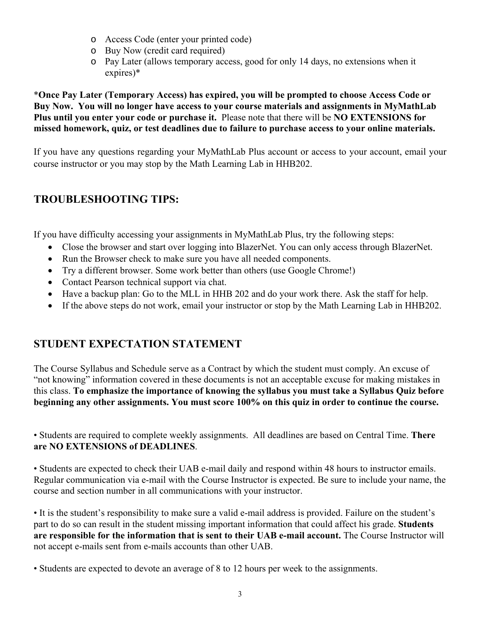- o Access Code (enter your printed code)
- o Buy Now (credit card required)
- o Pay Later (allows temporary access, good for only 14 days, no extensions when it expires)\*

\***Once Pay Later (Temporary Access) has expired, you will be prompted to choose Access Code or Buy Now. You will no longer have access to your course materials and assignments in MyMathLab Plus until you enter your code or purchase it.** Please note that there will be **NO EXTENSIONS for missed homework, quiz, or test deadlines due to failure to purchase access to your online materials.** 

If you have any questions regarding your MyMathLab Plus account or access to your account, email your course instructor or you may stop by the Math Learning Lab in HHB202.

## **TROUBLESHOOTING TIPS:**

If you have difficulty accessing your assignments in MyMathLab Plus, try the following steps:

- Close the browser and start over logging into BlazerNet. You can only access through BlazerNet.
- Run the Browser check to make sure you have all needed components.
- Try a different browser. Some work better than others (use Google Chrome!)
- Contact Pearson technical support via chat.
- Have a backup plan: Go to the MLL in HHB 202 and do your work there. Ask the staff for help.
- If the above steps do not work, email your instructor or stop by the Math Learning Lab in HHB202.

## **STUDENT EXPECTATION STATEMENT**

The Course Syllabus and Schedule serve as a Contract by which the student must comply. An excuse of "not knowing" information covered in these documents is not an acceptable excuse for making mistakes in this class. **To emphasize the importance of knowing the syllabus you must take a Syllabus Quiz before beginning any other assignments. You must score 100% on this quiz in order to continue the course.**

• Students are required to complete weekly assignments. All deadlines are based on Central Time. **There are NO EXTENSIONS of DEADLINES**.

• Students are expected to check their UAB e-mail daily and respond within 48 hours to instructor emails. Regular communication via e-mail with the Course Instructor is expected. Be sure to include your name, the course and section number in all communications with your instructor.

• It is the student's responsibility to make sure a valid e-mail address is provided. Failure on the student's part to do so can result in the student missing important information that could affect his grade. **Students are responsible for the information that is sent to their UAB e-mail account.** The Course Instructor will not accept e-mails sent from e-mails accounts than other UAB.

• Students are expected to devote an average of 8 to 12 hours per week to the assignments.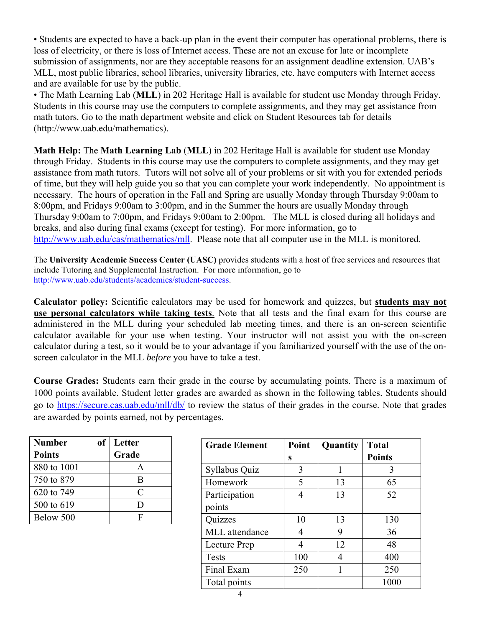• Students are expected to have a back-up plan in the event their computer has operational problems, there is loss of electricity, or there is loss of Internet access. These are not an excuse for late or incomplete submission of assignments, nor are they acceptable reasons for an assignment deadline extension. UAB's MLL, most public libraries, school libraries, university libraries, etc. have computers with Internet access and are available for use by the public.

• The Math Learning Lab (**MLL**) in 202 Heritage Hall is available for student use Monday through Friday. Students in this course may use the computers to complete assignments, and they may get assistance from math tutors. Go to the math department website and click on Student Resources tab for details (http://www.uab.edu/mathematics).

**Math Help:** The **Math Learning Lab** (**MLL**) in 202 Heritage Hall is available for student use Monday through Friday. Students in this course may use the computers to complete assignments, and they may get assistance from math tutors. Tutors will not solve all of your problems or sit with you for extended periods of time, but they will help guide you so that you can complete your work independently. No appointment is necessary. The hours of operation in the Fall and Spring are usually Monday through Thursday 9:00am to 8:00pm, and Fridays 9:00am to 3:00pm, and in the Summer the hours are usually Monday through Thursday 9:00am to 7:00pm, and Fridays 9:00am to 2:00pm. The MLL is closed during all holidays and breaks, and also during final exams (except for testing). For more information, go to http://www.uab.edu/cas/mathematics/mll. Please note that all computer use in the MLL is monitored.

The **University Academic Success Center (UASC)** provides students with a host of free services and resources that include Tutoring and Supplemental Instruction. For more information, go to http://www.uab.edu/students/academics/student-success.

**Calculator policy:** Scientific calculators may be used for homework and quizzes, but **students may not use personal calculators while taking tests**. Note that all tests and the final exam for this course are administered in the MLL during your scheduled lab meeting times, and there is an on-screen scientific calculator available for your use when testing. Your instructor will not assist you with the on-screen calculator during a test, so it would be to your advantage if you familiarized yourself with the use of the onscreen calculator in the MLL *before* you have to take a test.

**Course Grades:** Students earn their grade in the course by accumulating points. There is a maximum of 1000 points available. Student letter grades are awarded as shown in the following tables. Students should go to https://secure.cas.uab.edu/mll/db/ to review the status of their grades in the course. Note that grades are awarded by points earned, not by percentages.

| <b>Number</b> | оf | Letter                      |  |
|---------------|----|-----------------------------|--|
| <b>Points</b> |    | Grade                       |  |
| 880 to 1001   |    |                             |  |
| 750 to 879    |    | B                           |  |
| 620 to 749    |    | $\mathcal{C}_{\mathcal{C}}$ |  |
| 500 to 619    |    | Ð                           |  |
| Below 500     |    | F                           |  |

| <b>Grade Element</b> | Point | Quantity | <b>Total</b>  |  |
|----------------------|-------|----------|---------------|--|
|                      | S     |          | <b>Points</b> |  |
| Syllabus Quiz        | 3     | 1        | 3             |  |
| Homework             | 5     | 13       | 65            |  |
| Participation        | 4     | 13       | 52            |  |
| points               |       |          |               |  |
| Quizzes              | 10    | 13       | 130           |  |
| MLL attendance       | 4     | 9        | 36            |  |
| Lecture Prep         | 4     | 12       | 48            |  |
| <b>Tests</b>         | 100   | 4        | 400           |  |
| Final Exam           | 250   | 1        | 250           |  |
| Total points         |       |          | 1000          |  |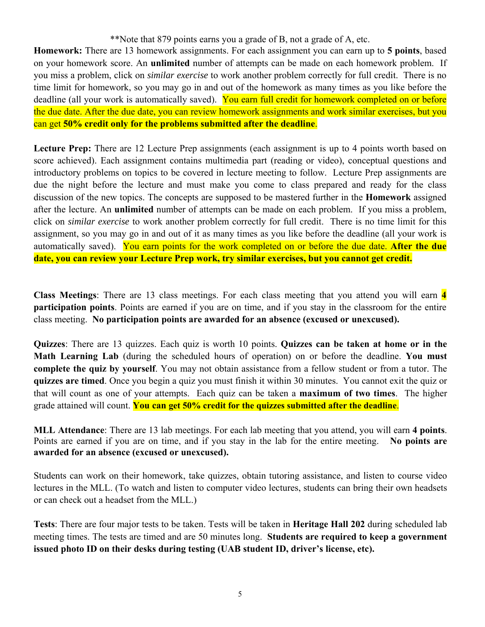\*\*Note that 879 points earns you a grade of B, not a grade of A, etc.

**Homework:** There are 13 homework assignments. For each assignment you can earn up to **5 points**, based on your homework score. An **unlimited** number of attempts can be made on each homework problem. If you miss a problem, click on *similar exercise* to work another problem correctly for full credit. There is no time limit for homework, so you may go in and out of the homework as many times as you like before the deadline (all your work is automatically saved). You earn full credit for homework completed on or before the due date. After the due date, you can review homework assignments and work similar exercises, but you can get **50% credit only for the problems submitted after the deadline**.

**Lecture Prep:** There are 12 Lecture Prep assignments (each assignment is up to 4 points worth based on score achieved). Each assignment contains multimedia part (reading or video), conceptual questions and introductory problems on topics to be covered in lecture meeting to follow. Lecture Prep assignments are due the night before the lecture and must make you come to class prepared and ready for the class discussion of the new topics. The concepts are supposed to be mastered further in the **Homework** assigned after the lecture. An **unlimited** number of attempts can be made on each problem. If you miss a problem, click on *similar exercise* to work another problem correctly for full credit. There is no time limit for this assignment, so you may go in and out of it as many times as you like before the deadline (all your work is automatically saved). You earn points for the work completed on or before the due date. **After the due date, you can review your Lecture Prep work, try similar exercises, but you cannot get credit.** 

**Class Meetings**: There are 13 class meetings. For each class meeting that you attend you will earn **4 participation points**. Points are earned if you are on time, and if you stay in the classroom for the entire class meeting. **No participation points are awarded for an absence (excused or unexcused).** 

**Quizzes**: There are 13 quizzes. Each quiz is worth 10 points. **Quizzes can be taken at home or in the Math Learning Lab** (during the scheduled hours of operation) on or before the deadline. **You must complete the quiz by yourself**. You may not obtain assistance from a fellow student or from a tutor. The **quizzes are timed**. Once you begin a quiz you must finish it within 30 minutes. You cannot exit the quiz or that will count as one of your attempts. Each quiz can be taken a **maximum of two times**. The higher grade attained will count. **You can get 50% credit for the quizzes submitted after the deadline**.

**MLL Attendance**: There are 13 lab meetings. For each lab meeting that you attend, you will earn **4 points**. Points are earned if you are on time, and if you stay in the lab for the entire meeting. **No points are awarded for an absence (excused or unexcused).** 

Students can work on their homework, take quizzes, obtain tutoring assistance, and listen to course video lectures in the MLL. (To watch and listen to computer video lectures, students can bring their own headsets or can check out a headset from the MLL.)

**Tests**: There are four major tests to be taken. Tests will be taken in **Heritage Hall 202** during scheduled lab meeting times. The tests are timed and are 50 minutes long. **Students are required to keep a government issued photo ID on their desks during testing (UAB student ID, driver's license, etc).**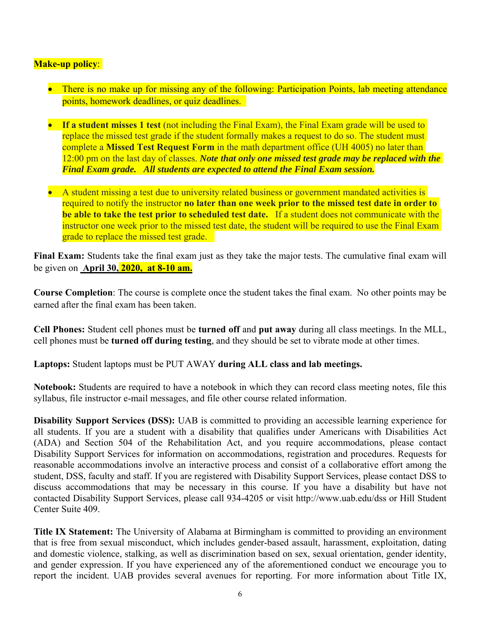#### **Make-up policy**:

- There is no make up for missing any of the following: Participation Points, lab meeting attendance points, homework deadlines, or quiz deadlines.
- **If a student misses 1 test** (not including the Final Exam), the Final Exam grade will be used to replace the missed test grade if the student formally makes a request to do so. The student must complete a **Missed Test Request Form** in the math department office (UH 4005) no later than 12:00 pm on the last day of classes. *Note that only one missed test grade may be replaced with the Final Exam grade. All students are expected to attend the Final Exam session.*
- A student missing a test due to university related business or government mandated activities is required to notify the instructor **no later than one week prior to the missed test date in order to be able to take the test prior to scheduled test date.** If a student does not communicate with the instructor one week prior to the missed test date, the student will be required to use the Final Exam grade to replace the missed test grade.

**Final Exam:** Students take the final exam just as they take the major tests. The cumulative final exam will be given on **April 30, 2020,\_at 8-10 am.** 

**Course Completion**: The course is complete once the student takes the final exam. No other points may be earned after the final exam has been taken.

**Cell Phones:** Student cell phones must be **turned off** and **put away** during all class meetings. In the MLL, cell phones must be **turned off during testing**, and they should be set to vibrate mode at other times.

**Laptops:** Student laptops must be PUT AWAY **during ALL class and lab meetings.** 

**Notebook:** Students are required to have a notebook in which they can record class meeting notes, file this syllabus, file instructor e-mail messages, and file other course related information.

**Disability Support Services (DSS):** UAB is committed to providing an accessible learning experience for all students. If you are a student with a disability that qualifies under Americans with Disabilities Act (ADA) and Section 504 of the Rehabilitation Act, and you require accommodations, please contact Disability Support Services for information on accommodations, registration and procedures. Requests for reasonable accommodations involve an interactive process and consist of a collaborative effort among the student, DSS, faculty and staff. If you are registered with Disability Support Services, please contact DSS to discuss accommodations that may be necessary in this course. If you have a disability but have not contacted Disability Support Services, please call 934-4205 or visit http://www.uab.edu/dss or Hill Student Center Suite 409.

**Title IX Statement:** The University of Alabama at Birmingham is committed to providing an environment that is free from sexual misconduct, which includes gender-based assault, harassment, exploitation, dating and domestic violence, stalking, as well as discrimination based on sex, sexual orientation, gender identity, and gender expression. If you have experienced any of the aforementioned conduct we encourage you to report the incident. UAB provides several avenues for reporting. For more information about Title IX,